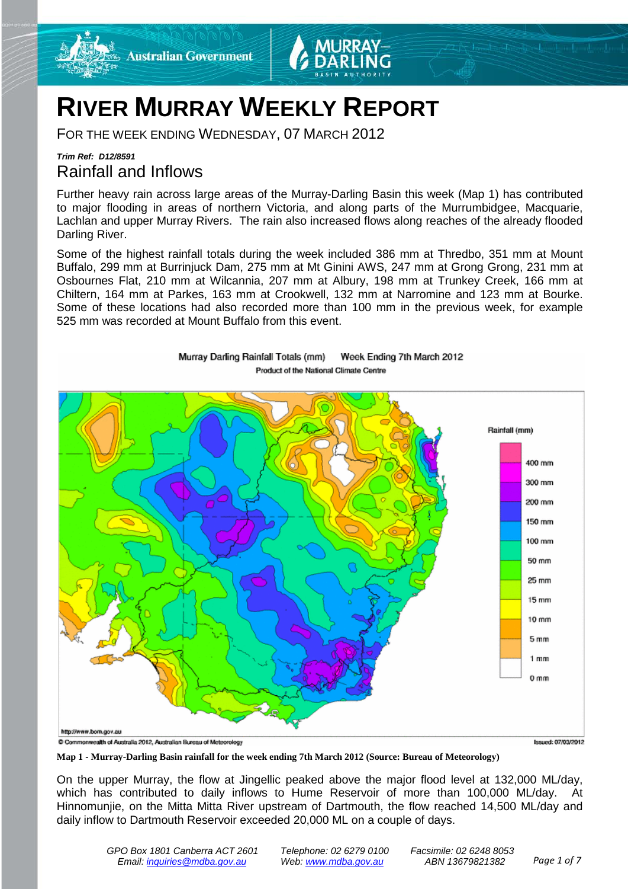

# **RIVER MURRAY WEEKLY REPORT**

FOR THE WEEK ENDING WEDNESDAY, 07 MARCH 2012

### *Trim Ref: D12/8591* Rainfall and Inflows

Further heavy rain across large areas of the Murray-Darling Basin this week (Map 1) has contributed to major flooding in areas of northern Victoria, and along parts of the Murrumbidgee, Macquarie, Lachlan and upper Murray Rivers. The rain also increased flows along reaches of the already flooded Darling River.

Some of the highest rainfall totals during the week included 386 mm at Thredbo, 351 mm at Mount Buffalo, 299 mm at Burrinjuck Dam, 275 mm at Mt Ginini AWS, 247 mm at Grong Grong, 231 mm at Osbournes Flat, 210 mm at Wilcannia, 207 mm at Albury, 198 mm at Trunkey Creek, 166 mm at Chiltern, 164 mm at Parkes, 163 mm at Crookwell, 132 mm at Narromine and 123 mm at Bourke. Some of these locations had also recorded more than 100 mm in the previous week, for example 525 mm was recorded at Mount Buffalo from this event.



Murray Darling Rainfall Totals (mm) Week Ending 7th March 2012 Product of the National Climate Centre

**Map 1 - Murray-Darling Basin rainfall for the week ending 7th March 2012 (Source: Bureau of Meteorology)**

On the upper Murray, the flow at Jingellic peaked above the major flood level at 132,000 ML/day, which has contributed to daily inflows to Hume Reservoir of more than 100,000 ML/day. At Hinnomunjie, on the Mitta Mitta River upstream of Dartmouth, the flow reached 14,500 ML/day and daily inflow to Dartmouth Reservoir exceeded 20,000 ML on a couple of days.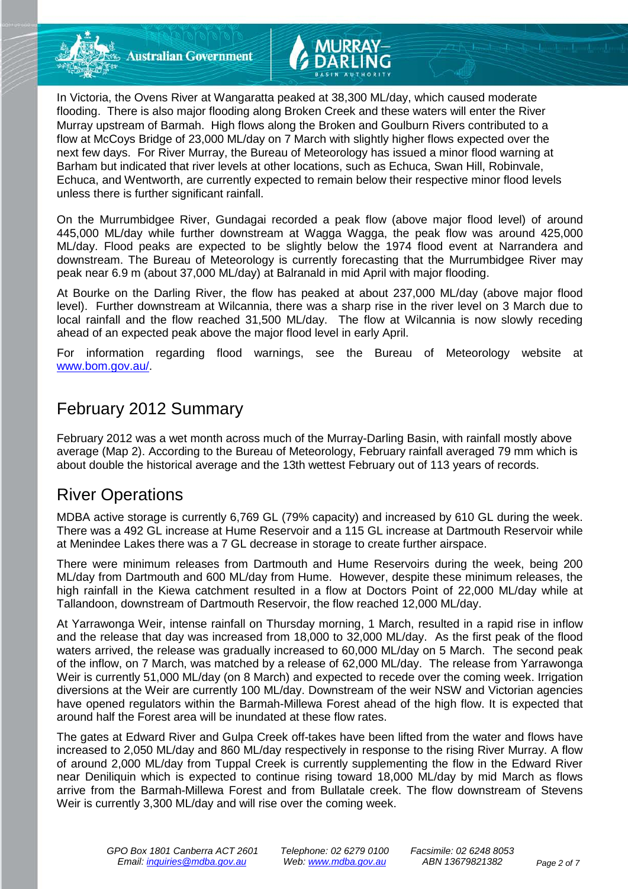**Australian Government** 



On the Murrumbidgee River, Gundagai recorded a peak flow (above major flood level) of around 445,000 ML/day while further downstream at Wagga Wagga, the peak flow was around 425,000 ML/day. Flood peaks are expected to be slightly below the 1974 flood event at Narrandera and downstream. The Bureau of Meteorology is currently forecasting that the Murrumbidgee River may peak near 6.9 m (about 37,000 ML/day) at Balranald in mid April with major flooding.

At Bourke on the Darling River, the flow has peaked at about 237,000 ML/day (above major flood level). Further downstream at Wilcannia, there was a sharp rise in the river level on 3 March due to local rainfall and the flow reached 31,500 ML/day. The flow at Wilcannia is now slowly receding ahead of an expected peak above the major flood level in early April.

For information regarding flood warnings, see the Bureau of Meteorology website at [www.bom.gov.au/.](http://www.bom.gov.au/)

# February 2012 Summary

February 2012 was a wet month across much of the Murray-Darling Basin, with rainfall mostly above average (Map 2). According to the Bureau of Meteorology, February rainfall averaged 79 mm which is about double the historical average and the 13th wettest February out of 113 years of records.

# River Operations

MDBA active storage is currently 6,769 GL (79% capacity) and increased by 610 GL during the week. There was a 492 GL increase at Hume Reservoir and a 115 GL increase at Dartmouth Reservoir while at Menindee Lakes there was a 7 GL decrease in storage to create further airspace.

There were minimum releases from Dartmouth and Hume Reservoirs during the week, being 200 ML/day from Dartmouth and 600 ML/day from Hume. However, despite these minimum releases, the high rainfall in the Kiewa catchment resulted in a flow at Doctors Point of 22,000 ML/day while at Tallandoon, downstream of Dartmouth Reservoir, the flow reached 12,000 ML/day.

At Yarrawonga Weir, intense rainfall on Thursday morning, 1 March, resulted in a rapid rise in inflow and the release that day was increased from 18,000 to 32,000 ML/day. As the first peak of the flood waters arrived, the release was gradually increased to 60,000 ML/day on 5 March. The second peak of the inflow, on 7 March, was matched by a release of 62,000 ML/day. The release from Yarrawonga Weir is currently 51,000 ML/day (on 8 March) and expected to recede over the coming week. Irrigation diversions at the Weir are currently 100 ML/day. Downstream of the weir NSW and Victorian agencies have opened regulators within the Barmah-Millewa Forest ahead of the high flow. It is expected that around half the Forest area will be inundated at these flow rates.

The gates at Edward River and Gulpa Creek off-takes have been lifted from the water and flows have increased to 2,050 ML/day and 860 ML/day respectively in response to the rising River Murray. A flow of around 2,000 ML/day from Tuppal Creek is currently supplementing the flow in the Edward River near Deniliquin which is expected to continue rising toward 18,000 ML/day by mid March as flows arrive from the Barmah-Millewa Forest and from Bullatale creek. The flow downstream of Stevens Weir is currently 3,300 ML/day and will rise over the coming week.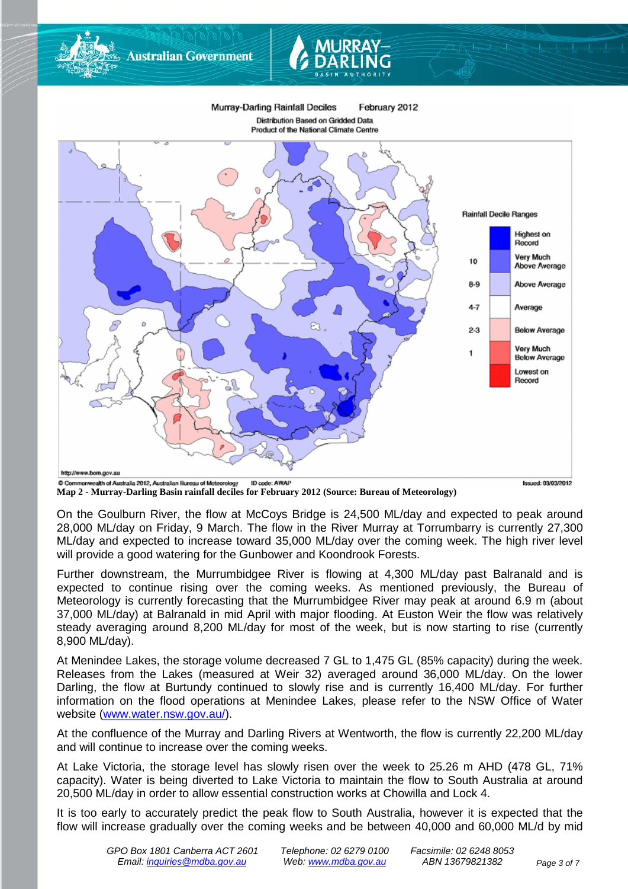

**Map 2 - Murray-Darling Basin rainfall deciles for February 2012 (Source: Bureau of Meteorology)**

**Australian Government** 

On the Goulburn River, the flow at McCoys Bridge is 24,500 ML/day and expected to peak around 28,000 ML/day on Friday, 9 March. The flow in the River Murray at Torrumbarry is currently 27,300 ML/day and expected to increase toward 35,000 ML/day over the coming week. The high river level will provide a good watering for the Gunbower and Koondrook Forests.

Further downstream, the Murrumbidgee River is flowing at 4,300 ML/day past Balranald and is expected to continue rising over the coming weeks. As mentioned previously, the Bureau of Meteorology is currently forecasting that the Murrumbidgee River may peak at around 6.9 m (about 37,000 ML/day) at Balranald in mid April with major flooding. At Euston Weir the flow was relatively steady averaging around 8,200 ML/day for most of the week, but is now starting to rise (currently 8,900 ML/day).

At Menindee Lakes, the storage volume decreased 7 GL to 1,475 GL (85% capacity) during the week. Releases from the Lakes (measured at Weir 32) averaged around 36,000 ML/day. On the lower Darling, the flow at Burtundy continued to slowly rise and is currently 16,400 ML/day. For further information on the flood operations at Menindee Lakes, please refer to the NSW Office of Water website [\(www.water.nsw.gov.au/\)](http://www.water.nsw.gov.au/).

At the confluence of the Murray and Darling Rivers at Wentworth, the flow is currently 22,200 ML/day and will continue to increase over the coming weeks.

At Lake Victoria, the storage level has slowly risen over the week to 25.26 m AHD (478 GL, 71% capacity). Water is being diverted to Lake Victoria to maintain the flow to South Australia at around 20,500 ML/day in order to allow essential construction works at Chowilla and Lock 4.

It is too early to accurately predict the peak flow to South Australia, however it is expected that the flow will increase gradually over the coming weeks and be between 40,000 and 60,000 ML/d by mid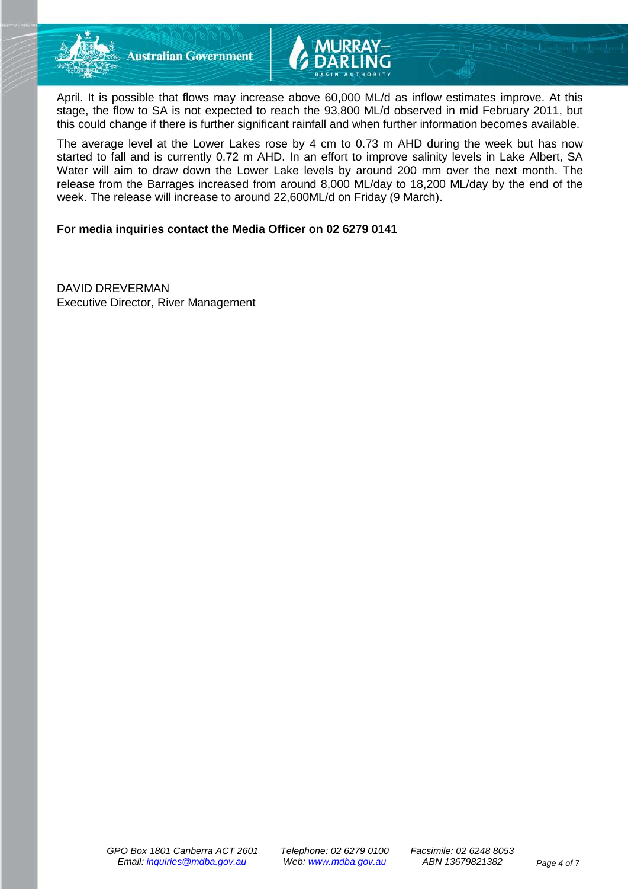



April. It is possible that flows may increase above 60,000 ML/d as inflow estimates improve. At this stage, the flow to SA is not expected to reach the 93,800 ML/d observed in mid February 2011, but this could change if there is further significant rainfall and when further information becomes available.

The average level at the Lower Lakes rose by 4 cm to 0.73 m AHD during the week but has now started to fall and is currently 0.72 m AHD. In an effort to improve salinity levels in Lake Albert, SA Water will aim to draw down the Lower Lake levels by around 200 mm over the next month. The release from the Barrages increased from around 8,000 ML/day to 18,200 ML/day by the end of the week. The release will increase to around 22,600ML/d on Friday (9 March).

#### **For media inquiries contact the Media Officer on 02 6279 0141**

DAVID DREVERMAN Executive Director, River Management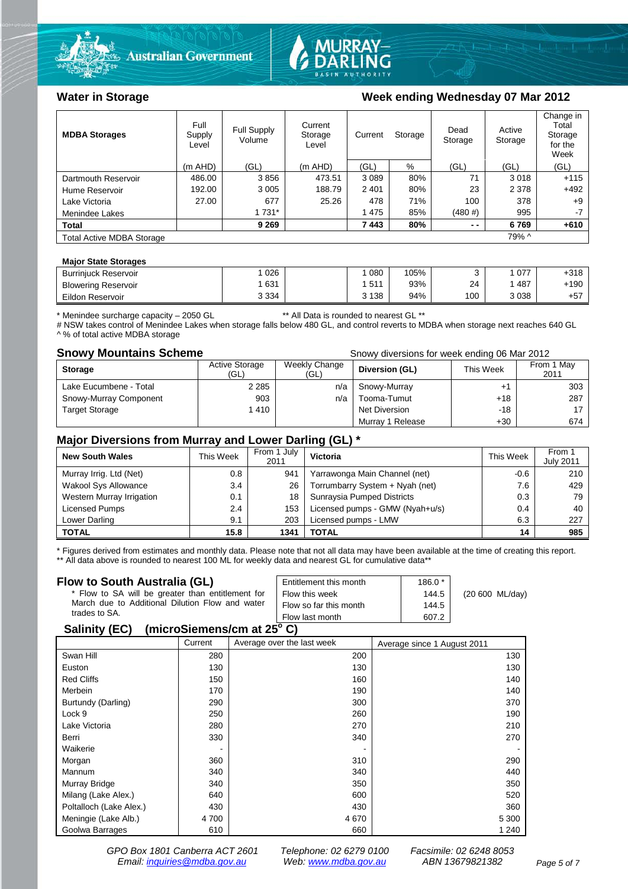



### Water in Storage Week ending Wednesday 07 Mar 2012

| <b>MDBA Storages</b>             | Full<br>Supply<br>Level | Full Supply<br>Volume | Current<br>Storage<br>Level | Current | Storage | Dead<br>Storage | Active<br>Storage | Change in<br>Total<br>Storage<br>for the<br>Week |
|----------------------------------|-------------------------|-----------------------|-----------------------------|---------|---------|-----------------|-------------------|--------------------------------------------------|
|                                  | $(m$ AHD)               | (GL)                  | $(m$ AHD)                   | (GL)    | %       | (GL)            | (GL)              | (GL)                                             |
| Dartmouth Reservoir              | 486.00                  | 3856                  | 473.51                      | 3 0 8 9 | 80%     | 71              | 3018              | $+115$                                           |
| Hume Reservoir                   | 192.00                  | 3 0 0 5               | 188.79                      | 2 4 0 1 | 80%     | 23              | 2 3 7 8           | $+492$                                           |
| Lake Victoria                    | 27.00                   | 677                   | 25.26                       | 478     | 71%     | 100             | 378               | $+9$                                             |
| Menindee Lakes                   |                         | 1 7 3 1 *             |                             | 1475    | 85%     | (480#)          | 995               | $-7$                                             |
| <b>Total</b>                     |                         | 9 2 6 9               |                             | 7443    | 80%     | $ -$            | 6769              | $+610$                                           |
| <b>Total Active MDBA Storage</b> |                         |                       |                             |         |         |                 | 79% ^             |                                                  |

#### **Major State Storages**

| <b>Burrinjuck Reservoir</b> | 026     | 080     | 105% |     | 077  | $+318$ |
|-----------------------------|---------|---------|------|-----|------|--------|
| <b>Blowering Reservoir</b>  | 631     | 511     | 93%  | 24  | 487  | $+190$ |
| Eildon Reservoir            | 3 3 3 4 | 3 1 3 8 | 94%  | 100 | 3038 | $+57$  |

\* Menindee surcharge capacity – 2050 GL \*\* All Data is rounded to nearest GL \*\*

# NSW takes control of Menindee Lakes when storage falls below 480 GL, and control reverts to MDBA when storage next reaches 640 GL ^ % of total active MDBA storage

**Snowy Mountains Scheme Snowy diversions for week ending 06 Mar 2012** 

| <b>Storage</b>         | <b>Active Storage</b><br>(GL) | Weekly Change<br>(GL) | Diversion (GL)   | This Week | From 1 May<br>2011 |
|------------------------|-------------------------------|-----------------------|------------------|-----------|--------------------|
| Lake Eucumbene - Total | 2 2 8 5                       | n/a                   | Snowy-Murray     |           | 303                |
| Snowy-Murray Component | 903                           | n/a                   | Tooma-Tumut      | $+18$     | 287                |
| <b>Target Storage</b>  | 1410                          |                       | Net Diversion    | $-18$     | 17 <sub>1</sub>    |
|                        |                               |                       | Murray 1 Release | $+30$     | 674                |

#### **Major Diversions from Murray and Lower Darling (GL) \***

| <b>New South Wales</b>    | This Week | From 1 July<br>2011 | <b>Victoria</b>                 | This Week | From 1<br><b>July 2011</b> |
|---------------------------|-----------|---------------------|---------------------------------|-----------|----------------------------|
| Murray Irrig. Ltd (Net)   | 0.8       | 941                 | Yarrawonga Main Channel (net)   | -0.6      | 210                        |
| Wakool Sys Allowance      | 3.4       | 26                  | Torrumbarry System + Nyah (net) | 7.6       | 429                        |
| Western Murray Irrigation | 0.1       | 18                  | Sunraysia Pumped Districts      | 0.3       | 79                         |
| Licensed Pumps            | 2.4       | 153                 | Licensed pumps - GMW (Nyah+u/s) | 0.4       | 40                         |
| Lower Darling             | 9.1       | 203                 | Licensed pumps - LMW            | 6.3       | 227                        |
| <b>TOTAL</b>              | 15.8      | 1341                | TOTAL                           | 14        | 985                        |

\* Figures derived from estimates and monthly data. Please note that not all data may have been available at the time of creating this report. \*\* All data above is rounded to nearest 100 ML for weekly data and nearest GL for cumulative data\*\*

#### **Flow to South Australia (GL)**

| Flow to South Australia (GL)<br>* Flow to SA will be greater than entitlement for<br>March due to Additional Dilution Flow and water<br>trades to SA. | Entitlement this month<br>Flow this week<br>Flow so far this month | $186.0*$<br>144.5<br>144.5 | (20 600 ML/day) |  |  |  |
|-------------------------------------------------------------------------------------------------------------------------------------------------------|--------------------------------------------------------------------|----------------------------|-----------------|--|--|--|
|                                                                                                                                                       | Flow last month                                                    | 607.2                      |                 |  |  |  |
| $P = 1!!41P P V$                                                                                                                                      |                                                                    |                            |                 |  |  |  |

#### **Salinity (EC) (microSiemens/cm at 25o C)**

| . .                     | Current | Average over the last week | Average since 1 August 2011 |
|-------------------------|---------|----------------------------|-----------------------------|
| Swan Hill               | 280     | 200                        | 130                         |
| Euston                  | 130     | 130                        | 130                         |
| <b>Red Cliffs</b>       | 150     | 160                        | 140                         |
| Merbein                 | 170     | 190                        | 140                         |
| Burtundy (Darling)      | 290     | 300                        | 370                         |
| Lock 9                  | 250     | 260                        | 190                         |
| Lake Victoria           | 280     | 270                        | 210                         |
| Berri                   | 330     | 340                        | 270                         |
| Waikerie                |         |                            |                             |
| Morgan                  | 360     | 310                        | 290                         |
| Mannum                  | 340     | 340                        | 440                         |
| Murray Bridge           | 340     | 350                        | 350                         |
| Milang (Lake Alex.)     | 640     | 600                        | 520                         |
| Poltalloch (Lake Alex.) | 430     | 430                        | 360                         |
| Meningie (Lake Alb.)    | 4 700   | 4670                       | 5 3 0 0                     |
| Goolwa Barrages         | 610     | 660                        | 1 2 4 0                     |

*GPO Box 1801 Canberra ACT 2601 Telephone: 02 6279 0100 Facsimile: 02 6248 8053 Email: [inquiries@mdba.gov.au](mailto:inquiries@mdba.gov.au) Web: [www.mdba.gov.au](http://www.mdba.gov.au/) ABN 13679821382 Page 5 of 7*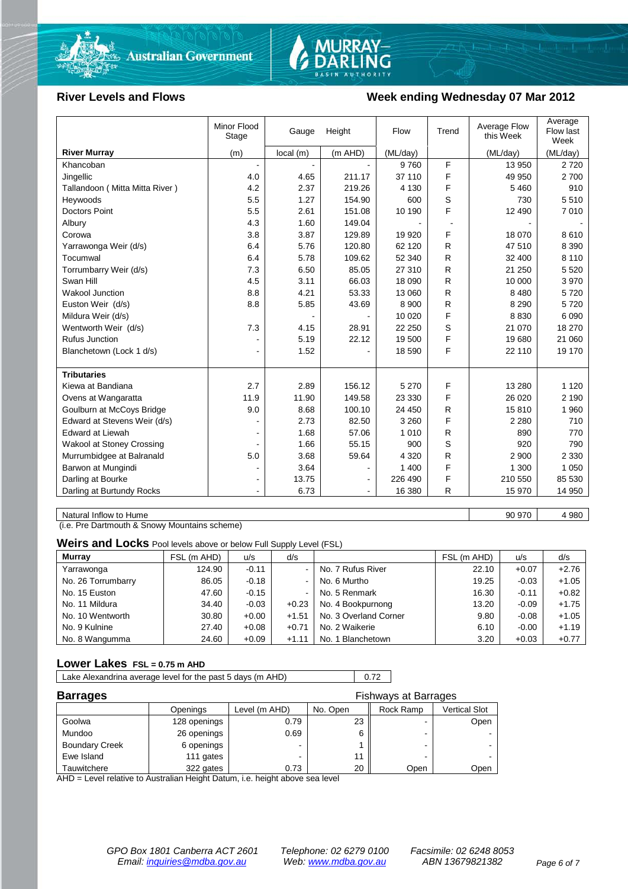



#### River Levels and Flows **Week ending Wednesday 07 Mar 2012**

|                                  | Minor Flood<br>Stage | Gauge    | Height         | Flow     | Trend | Average Flow<br>this Week | Average<br>Flow last<br>Week |
|----------------------------------|----------------------|----------|----------------|----------|-------|---------------------------|------------------------------|
| <b>River Murray</b>              | (m)                  | local(m) | (m AHD)        | (ML/day) |       | (ML/day)                  | (ML/day)                     |
| Khancoban                        | $\blacksquare$       |          |                | 9760     | F     | 13 950                    | 2 7 2 0                      |
| Jingellic                        | 4.0                  | 4.65     | 211.17         | 37 110   | F     | 49 950                    | 2700                         |
| Tallandoon (Mitta Mitta River)   | 4.2                  | 2.37     | 219.26         | 4 1 3 0  | F     | 5 4 6 0                   | 910                          |
| Heywoods                         | 5.5                  | 1.27     | 154.90         | 600      | S     | 730                       | 5510                         |
| <b>Doctors Point</b>             | 5.5                  | 2.61     | 151.08         | 10 190   | F     | 12 490                    | 7 0 1 0                      |
| Albury                           | 4.3                  | 1.60     | 149.04         |          |       |                           |                              |
| Corowa                           | 3.8                  | 3.87     | 129.89         | 19 9 20  | F     | 18 0 70                   | 8610                         |
| Yarrawonga Weir (d/s)            | 6.4                  | 5.76     | 120.80         | 62 120   | R     | 47 510                    | 8 3 9 0                      |
| Tocumwal                         | 6.4                  | 5.78     | 109.62         | 52 340   | R     | 32 400                    | 8 1 1 0                      |
| Torrumbarry Weir (d/s)           | 7.3                  | 6.50     | 85.05          | 27 310   | R     | 21 250                    | 5 5 20                       |
| Swan Hill                        | 4.5                  | 3.11     | 66.03          | 18 090   | R     | 10 000                    | 3 9 7 0                      |
| <b>Wakool Junction</b>           | 8.8                  | 4.21     | 53.33          | 13 060   | R.    | 8 4 8 0                   | 5720                         |
| Euston Weir (d/s)                | 8.8                  | 5.85     | 43.69          | 8 9 0 0  | R     | 8 2 9 0                   | 5720                         |
| Mildura Weir (d/s)               |                      |          |                | 10 0 20  | F     | 8 8 3 0                   | 6 0 9 0                      |
| Wentworth Weir (d/s)             | 7.3                  | 4.15     | 28.91          | 22 250   | S     | 21 070                    | 18 270                       |
| Rufus Junction                   |                      | 5.19     | 22.12          | 19 500   | F     | 19 680                    | 21 060                       |
| Blanchetown (Lock 1 d/s)         | $\blacksquare$       | 1.52     |                | 18 590   | F     | 22 110                    | 19 170                       |
|                                  |                      |          |                |          |       |                           |                              |
| <b>Tributaries</b>               |                      |          |                |          |       |                           |                              |
| Kiewa at Bandiana                | 2.7                  | 2.89     | 156.12         | 5 2 7 0  | F     | 13 280                    | 1 1 2 0                      |
| Ovens at Wangaratta              | 11.9                 | 11.90    | 149.58         | 23 330   | F     | 26 0 20                   | 2 1 9 0                      |
| Goulburn at McCoys Bridge        | 9.0                  | 8.68     | 100.10         | 24 450   | R     | 15810                     | 1960                         |
| Edward at Stevens Weir (d/s)     |                      | 2.73     | 82.50          | 3 2 6 0  | F     | 2 2 8 0                   | 710                          |
| <b>Edward at Liewah</b>          |                      | 1.68     | 57.06          | 1 0 1 0  | R.    | 890                       | 770                          |
| <b>Wakool at Stoney Crossing</b> |                      | 1.66     | 55.15          | 900      | S     | 920                       | 790                          |
| Murrumbidgee at Balranald        | 5.0                  | 3.68     | 59.64          | 4 3 2 0  | R     | 2 900                     | 2 3 3 0                      |
| Barwon at Mungindi               |                      | 3.64     |                | 1 400    | F     | 1 300                     | 1 0 5 0                      |
| Darling at Bourke                | $\blacksquare$       | 13.75    | $\blacksquare$ | 226 490  | F     | 210 550                   | 85 530                       |
| Darling at Burtundy Rocks        |                      | 6.73     | $\blacksquare$ | 16 380   | R     | 15 970                    | 14 950                       |

Natural Inflow to Hume 4 980

(i.e. Pre Dartmouth & Snowy Mountains scheme)

**Weirs and Locks** Pool levels above or below Full Supply Level (FSL)

| <b>Murray</b>      | FSL (m AHD) | u/s     | d/s            |                       | FSL (m AHD) | u/s     | d/s     |
|--------------------|-------------|---------|----------------|-----------------------|-------------|---------|---------|
| Yarrawonga         | 124.90      | $-0.11$ | $\sim$         | No. 7 Rufus River     | 22.10       | $+0.07$ | $+2.76$ |
| No. 26 Torrumbarry | 86.05       | $-0.18$ | $\sim$         | No. 6 Murtho          | 19.25       | $-0.03$ | $+1.05$ |
| No. 15 Euston      | 47.60       | $-0.15$ | $\blacksquare$ | No. 5 Renmark         | 16.30       | $-0.11$ | $+0.82$ |
| No. 11 Mildura     | 34.40       | $-0.03$ | $+0.23$        | No. 4 Bookpurnong     | 13.20       | $-0.09$ | $+1.75$ |
| No. 10 Wentworth   | 30.80       | $+0.00$ | $+1.51$        | No. 3 Overland Corner | 9.80        | $-0.08$ | $+1.05$ |
| No. 9 Kulnine      | 27.40       | $+0.08$ | $+0.71$        | No. 2 Waikerie        | 6.10        | $-0.00$ | $+1.19$ |
| No. 8 Wangumma     | 24.60       | $+0.09$ | $+1.11$        | No. 1 Blanchetown     | 3.20        | $+0.03$ | $+0.77$ |

#### **Lower Lakes FSL = 0.75 m AHD**

Lake Alexandrina average level for the past 5 days (m AHD) 0.72

| <b>Barrages</b>       |              |               | <b>Fishways at Barrages</b> |                          |               |
|-----------------------|--------------|---------------|-----------------------------|--------------------------|---------------|
|                       | Openings     | Level (m AHD) | No. Open                    | Rock Ramp                | Vertical Slot |
| Goolwa                | 128 openings | 0.79          | 23                          | -                        | Open          |
| Mundoo                | 26 openings  | 0.69          |                             | -                        |               |
| <b>Boundary Creek</b> | 6 openings   |               |                             | $\overline{\phantom{0}}$ |               |
| Ewe Island            | 111 gates    |               |                             |                          |               |
| Tauwitchere           | 322 gates    | 0.73          | 20                          | Open                     | Open          |

AHD = Level relative to Australian Height Datum, i.e. height above sea level